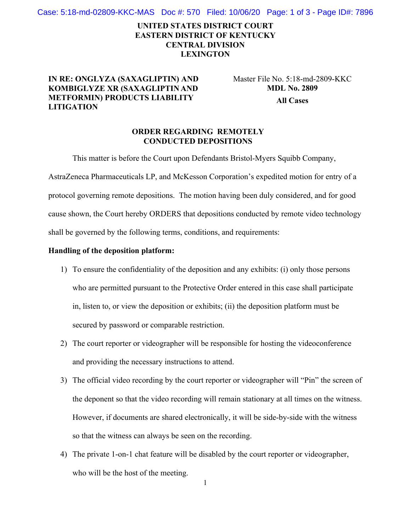Case: 5:18-md-02809-KKC-MAS Doc #: 570 Filed: 10/06/20 Page: 1 of 3 - Page ID#: 7896

# **UNITED STATES DISTRICT COURT EASTERN DISTRICT OF KENTUCKY CENTRAL DIVISION LEXINGTON**

## **IN RE: ONGLYZA (SAXAGLIPTIN) AND KOMBIGLYZE XR (SAXAGLIPTIN AND METFORMIN) PRODUCTS LIABILITY LITIGATION**

Master File No. 5:18-md-2809-KKC **MDL No. 2809 All Cases** 

### **ORDER REGARDING REMOTELY CONDUCTED DEPOSITIONS**

This matter is before the Court upon Defendants Bristol-Myers Squibb Company,

AstraZeneca Pharmaceuticals LP, and McKesson Corporation's expedited motion for entry of a protocol governing remote depositions. The motion having been duly considered, and for good cause shown, the Court hereby ORDERS that depositions conducted by remote video technology shall be governed by the following terms, conditions, and requirements:

#### **Handling of the deposition platform:**

- 1) To ensure the confidentiality of the deposition and any exhibits: (i) only those persons who are permitted pursuant to the Protective Order entered in this case shall participate in, listen to, or view the deposition or exhibits; (ii) the deposition platform must be secured by password or comparable restriction.
- 2) The court reporter or videographer will be responsible for hosting the videoconference and providing the necessary instructions to attend.
- 3) The official video recording by the court reporter or videographer will "Pin" the screen of the deponent so that the video recording will remain stationary at all times on the witness. However, if documents are shared electronically, it will be side-by-side with the witness so that the witness can always be seen on the recording.
- 4) The private 1-on-1 chat feature will be disabled by the court reporter or videographer, who will be the host of the meeting.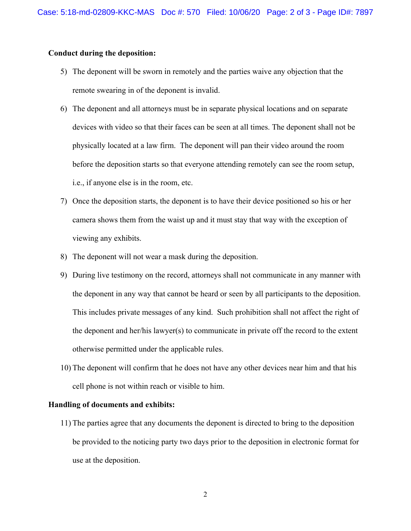#### **Conduct during the deposition:**

- 5) The deponent will be sworn in remotely and the parties waive any objection that the remote swearing in of the deponent is invalid.
- 6) The deponent and all attorneys must be in separate physical locations and on separate devices with video so that their faces can be seen at all times. The deponent shall not be physically located at a law firm. The deponent will pan their video around the room before the deposition starts so that everyone attending remotely can see the room setup, i.e., if anyone else is in the room, etc.
- 7) Once the deposition starts, the deponent is to have their device positioned so his or her camera shows them from the waist up and it must stay that way with the exception of viewing any exhibits.
- 8) The deponent will not wear a mask during the deposition.
- 9) During live testimony on the record, attorneys shall not communicate in any manner with the deponent in any way that cannot be heard or seen by all participants to the deposition. This includes private messages of any kind. Such prohibition shall not affect the right of the deponent and her/his lawyer(s) to communicate in private off the record to the extent otherwise permitted under the applicable rules.
- 10) The deponent will confirm that he does not have any other devices near him and that his cell phone is not within reach or visible to him.

#### **Handling of documents and exhibits:**

11) The parties agree that any documents the deponent is directed to bring to the deposition be provided to the noticing party two days prior to the deposition in electronic format for use at the deposition.